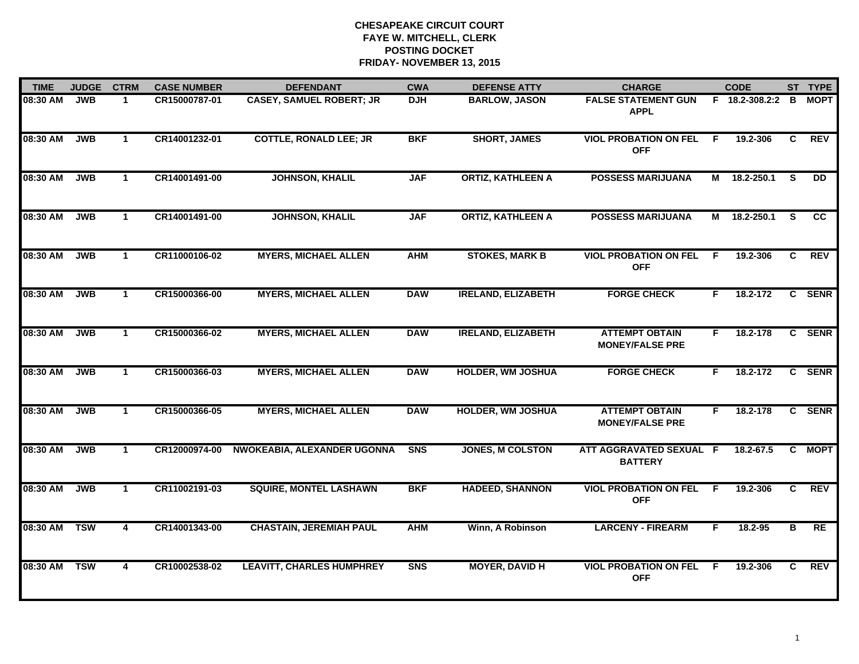| <b>TIME</b> | <b>JUDGE</b> | <b>CTRM</b>          | <b>CASE NUMBER</b> | <b>DEFENDANT</b>                 | <b>CWA</b>     | <b>DEFENSE ATTY</b>       | <b>CHARGE</b>                                   |    | <b>CODE</b>    |          | ST TYPE     |
|-------------|--------------|----------------------|--------------------|----------------------------------|----------------|---------------------------|-------------------------------------------------|----|----------------|----------|-------------|
| 08:30 AM    | <b>JWB</b>   | $\mathbf 1$          | CR15000787-01      | <b>CASEY, SAMUEL ROBERT; JR</b>  | <b>DJH</b>     | <b>BARLOW, JASON</b>      | <b>FALSE STATEMENT GUN</b><br><b>APPL</b>       |    | F 18.2-308.2:2 | в        | <b>MOPT</b> |
| 08:30 AM    | <b>JWB</b>   | $\mathbf{1}$         | CR14001232-01      | <b>COTTLE, RONALD LEE; JR</b>    | <b>BKF</b>     | <b>SHORT, JAMES</b>       | <b>VIOL PROBATION ON FEL</b><br><b>OFF</b>      | -F | 19.2-306       | C        | <b>REV</b>  |
| 08:30 AM    | <b>JWB</b>   | $\mathbf 1$          | CR14001491-00      | <b>JOHNSON, KHALIL</b>           | <b>JAF</b>     | <b>ORTIZ, KATHLEEN A</b>  | <b>POSSESS MARIJUANA</b>                        | M  | 18.2-250.1     | <b>S</b> | <b>DD</b>   |
| 08:30 AM    | <b>JWB</b>   | $\mathbf 1$          | CR14001491-00      | <b>JOHNSON, KHALIL</b>           | <b>JAF</b>     | <b>ORTIZ, KATHLEEN A</b>  | <b>POSSESS MARIJUANA</b>                        | М  | 18.2-250.1     | S.       | <b>CC</b>   |
| 08:30 AM    | <b>JWB</b>   | $\mathbf{1}$         | CR11000106-02      | <b>MYERS, MICHAEL ALLEN</b>      | <b>AHM</b>     | <b>STOKES, MARK B</b>     | <b>VIOL PROBATION ON FEL</b><br><b>OFF</b>      | F  | 19.2-306       | C        | <b>REV</b>  |
| 08:30 AM    | <b>JWB</b>   | $\blacktriangleleft$ | CR15000366-00      | <b>MYERS, MICHAEL ALLEN</b>      | <b>DAW</b>     | <b>IRELAND, ELIZABETH</b> | <b>FORGE CHECK</b>                              | F. | 18.2-172       |          | C SENR      |
| 08:30 AM    | JWB          | $\mathbf{1}$         | CR15000366-02      | <b>MYERS, MICHAEL ALLEN</b>      | <b>DAW</b>     | <b>IRELAND, ELIZABETH</b> | <b>ATTEMPT OBTAIN</b><br><b>MONEY/FALSE PRE</b> | F. | 18.2-178       |          | C SENR      |
| 08:30 AM    | <b>JWB</b>   | $\mathbf{1}$         | CR15000366-03      | <b>MYERS, MICHAEL ALLEN</b>      | <b>DAW</b>     | <b>HOLDER, WM JOSHUA</b>  | <b>FORGE CHECK</b>                              | F  | 18.2-172       |          | C SENR      |
| 08:30 AM    | <b>JWB</b>   | -1                   | CR15000366-05      | <b>MYERS, MICHAEL ALLEN</b>      | <b>DAW</b>     | <b>HOLDER, WM JOSHUA</b>  | <b>ATTEMPT OBTAIN</b><br><b>MONEY/FALSE PRE</b> | F  | 18.2-178       |          | C SENR      |
| 08:30 AM    | <b>JWB</b>   | $\mathbf{1}$         | CR12000974-00      | NWOKEABIA, ALEXANDER UGONNA      | S <sub>N</sub> | <b>JONES, M COLSTON</b>   | ATT AGGRAVATED SEXUAL F<br><b>BATTERY</b>       |    | 18.2-67.5      |          | C MOPT      |
| 08:30 AM    | <b>JWB</b>   | $\mathbf 1$          | CR11002191-03      | <b>SQUIRE, MONTEL LASHAWN</b>    | <b>BKF</b>     | <b>HADEED, SHANNON</b>    | <b>VIOL PROBATION ON FEL</b><br><b>OFF</b>      | -F | 19.2-306       | C.       | <b>REV</b>  |
| 08:30 AM    | <b>TSW</b>   | $\overline{4}$       | CR14001343-00      | <b>CHASTAIN, JEREMIAH PAUL</b>   | <b>AHM</b>     | Winn, A Robinson          | <b>LARCENY - FIREARM</b>                        | F. | 18.2-95        | В        | RE          |
| 08:30 AM    | <b>TSW</b>   | 4                    | CR10002538-02      | <b>LEAVITT, CHARLES HUMPHREY</b> | <b>SNS</b>     | <b>MOYER, DAVID H</b>     | <b>VIOL PROBATION ON FEL</b><br><b>OFF</b>      | -F | 19.2-306       | C.       | <b>REV</b>  |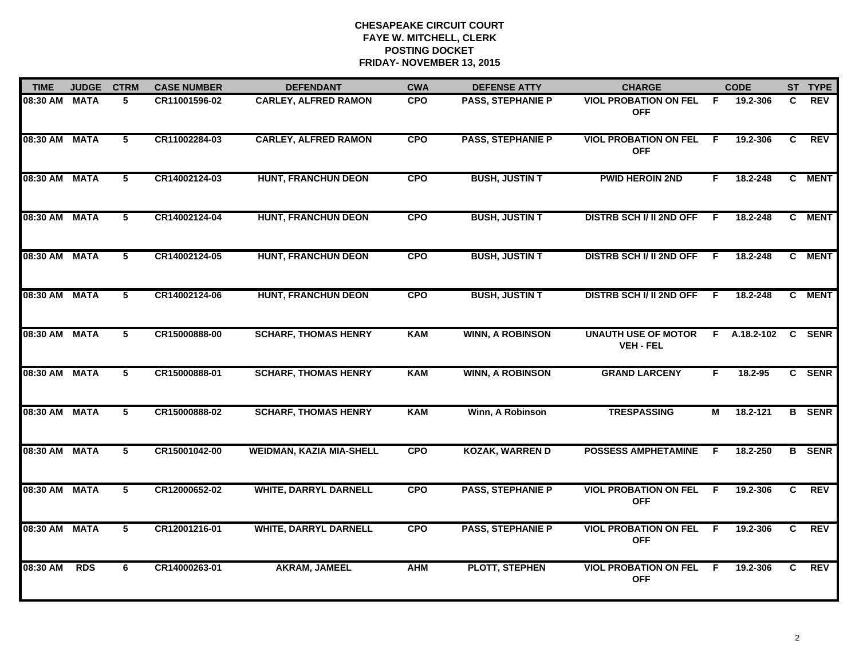| <b>TIME</b>   | <b>JUDGE</b> | <b>CTRM</b>     | <b>CASE NUMBER</b> | <b>DEFENDANT</b>                | <b>CWA</b> | <b>DEFENSE ATTY</b>      | <b>CHARGE</b>                                  |     | <b>CODE</b> |              | ST TYPE       |
|---------------|--------------|-----------------|--------------------|---------------------------------|------------|--------------------------|------------------------------------------------|-----|-------------|--------------|---------------|
| 08:30 AM      | <b>MATA</b>  | 5               | CR11001596-02      | <b>CARLEY, ALFRED RAMON</b>     | <b>CPO</b> | <b>PASS, STEPHANIE P</b> | <b>VIOL PROBATION ON FEL</b><br><b>OFF</b>     | - F | 19.2-306    | C.           | <b>REV</b>    |
| 08:30 AM MATA |              | $5^{\circ}$     | CR11002284-03      | <b>CARLEY, ALFRED RAMON</b>     | <b>CPO</b> | <b>PASS, STEPHANIE P</b> | <b>VIOL PROBATION ON FEL</b><br><b>OFF</b>     | F.  | 19.2-306    | C            | <b>REV</b>    |
| 08:30 AM      | <b>MATA</b>  | $\overline{5}$  | CR14002124-03      | <b>HUNT, FRANCHUN DEON</b>      | <b>CPO</b> | <b>BUSH, JUSTIN T</b>    | <b>PWID HEROIN 2ND</b>                         | F.  | 18.2-248    |              | C MENT        |
| 08:30 AM      | <b>MATA</b>  | 5               | CR14002124-04      | <b>HUNT, FRANCHUN DEON</b>      | <b>CPO</b> | <b>BUSH, JUSTIN T</b>    | <b>DISTRB SCH I/ II 2ND OFF</b>                | F   | 18.2-248    |              | C MENT        |
| 08:30 AM      | <b>MATA</b>  | 5               | CR14002124-05      | <b>HUNT, FRANCHUN DEON</b>      | <b>CPO</b> | <b>BUSH, JUSTIN T</b>    | <b>DISTRB SCH I/ II 2ND OFF</b>                | -F. | 18.2-248    |              | C MENT        |
| 08:30 AM MATA |              | 5               | CR14002124-06      | <b>HUNT, FRANCHUN DEON</b>      | <b>CPO</b> | <b>BUSH, JUSTIN T</b>    | <b>DISTRB SCH I/ II 2ND OFF</b>                | F.  | 18.2-248    |              | C MENT        |
| 08:30 AM      | <b>MATA</b>  | $5\phantom{.0}$ | CR15000888-00      | <b>SCHARF, THOMAS HENRY</b>     | KAM        | <b>WINN, A ROBINSON</b>  | <b>UNAUTH USE OF MOTOR</b><br><b>VEH - FEL</b> | F.  | A.18.2-102  | $\mathbf{C}$ | <b>SENR</b>   |
| 08:30 AM      | <b>MATA</b>  | $5^{\circ}$     | CR15000888-01      | <b>SCHARF, THOMAS HENRY</b>     | KAM        | <b>WINN, A ROBINSON</b>  | <b>GRAND LARCENY</b>                           | F   | 18.2-95     |              | C SENR        |
| 08:30 AM MATA |              | 5               | CR15000888-02      | <b>SCHARF, THOMAS HENRY</b>     | <b>KAM</b> | Winn, A Robinson         | <b>TRESPASSING</b>                             | М   | 18.2-121    |              | <b>B</b> SENR |
| 08:30 AM      | <b>MATA</b>  | 5               | CR15001042-00      | <b>WEIDMAN, KAZIA MIA-SHELL</b> | <b>CPO</b> | <b>KOZAK, WARREN D</b>   | <b>POSSESS AMPHETAMINE</b>                     | F   | 18.2-250    |              | <b>B</b> SENR |
| 08:30 AM MATA |              | 5               | CR12000652-02      | <b>WHITE, DARRYL DARNELL</b>    | <b>CPO</b> | <b>PASS, STEPHANIE P</b> | <b>VIOL PROBATION ON FEL</b><br><b>OFF</b>     | F.  | 19.2-306    | C.           | <b>REV</b>    |
| 08:30 AM      | <b>MATA</b>  | 5               | CR12001216-01      | <b>WHITE, DARRYL DARNELL</b>    | <b>CPO</b> | <b>PASS, STEPHANIE P</b> | <b>VIOL PROBATION ON FEL</b><br><b>OFF</b>     | F.  | 19.2-306    | C            | <b>REV</b>    |
| 08:30 AM      | <b>RDS</b>   | 6               | CR14000263-01      | AKRAM, JAMEEL                   | <b>AHM</b> | <b>PLOTT, STEPHEN</b>    | <b>VIOL PROBATION ON FEL F</b><br><b>OFF</b>   |     | 19.2-306    | C.           | <b>REV</b>    |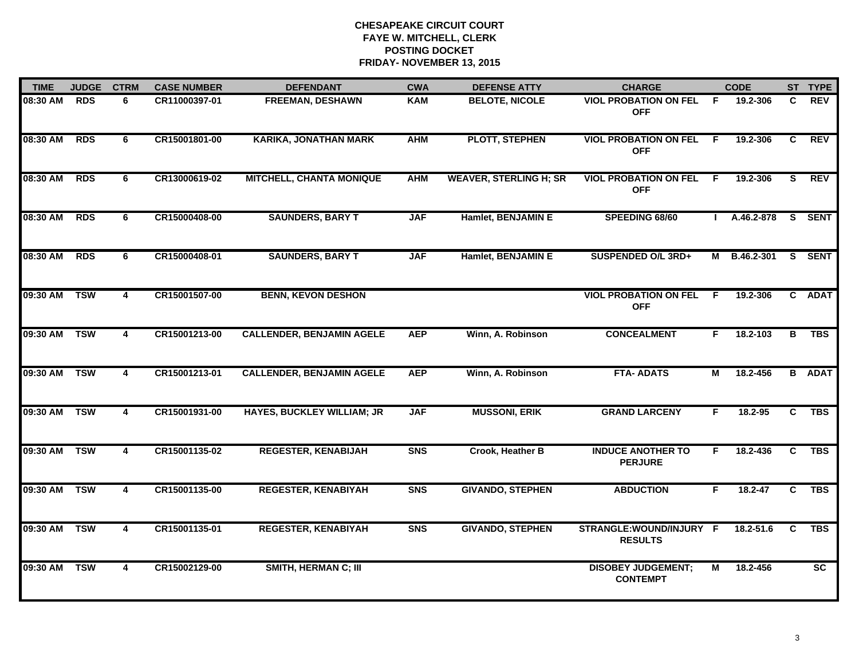| <b>TIME</b> | <b>JUDGE</b> | <b>CTRM</b>             | <b>CASE NUMBER</b> | <b>DEFENDANT</b>                  | <b>CWA</b> | <b>DEFENSE ATTY</b>           | <b>CHARGE</b>                                |                | <b>CODE</b>  |                | ST TYPE       |
|-------------|--------------|-------------------------|--------------------|-----------------------------------|------------|-------------------------------|----------------------------------------------|----------------|--------------|----------------|---------------|
| 08:30 AM    | <b>RDS</b>   | 6                       | CR11000397-01      | <b>FREEMAN, DESHAWN</b>           | <b>KAM</b> | <b>BELOTE, NICOLE</b>         | <b>VIOL PROBATION ON FEL</b><br><b>OFF</b>   | -F             | 19.2-306     | C              | <b>REV</b>    |
| 08:30 AM    | <b>RDS</b>   | 6                       | CR15001801-00      | <b>KARIKA, JONATHAN MARK</b>      | <b>AHM</b> | <b>PLOTT, STEPHEN</b>         | <b>VIOL PROBATION ON FEL</b><br><b>OFF</b>   | -F             | 19.2-306     | C              | <b>REV</b>    |
| 08:30 AM    | <b>RDS</b>   | 6                       | CR13000619-02      | <b>MITCHELL, CHANTA MONIQUE</b>   | <b>AHM</b> | <b>WEAVER, STERLING H; SR</b> | <b>VIOL PROBATION ON FEL</b><br><b>OFF</b>   | $\overline{F}$ | 19.2-306     | $\overline{s}$ | <b>REV</b>    |
| 08:30 AM    | <b>RDS</b>   | 6                       | CR15000408-00      | <b>SAUNDERS, BARY T</b>           | <b>JAF</b> | Hamlet, BENJAMIN E            | SPEEDING 68/60                               |                | A.46.2-878   |                | S SENT        |
| 08:30 AM    | <b>RDS</b>   | 6                       | CR15000408-01      | <b>SAUNDERS, BARY T</b>           | <b>JAF</b> | Hamlet, BENJAMIN E            | SUSPENDED O/L 3RD+                           |                | M B.46.2-301 |                | S SENT        |
| 09:30 AM    | <b>TSW</b>   | 4                       | CR15001507-00      | <b>BENN, KEVON DESHON</b>         |            |                               | <b>VIOL PROBATION ON FEL</b><br><b>OFF</b>   | -F             | 19.2-306     |                | C ADAT        |
| 09:30 AM    | <b>TSW</b>   | $\overline{4}$          | CR15001213-00      | <b>CALLENDER, BENJAMIN AGELE</b>  | <b>AEP</b> | Winn, A. Robinson             | <b>CONCEALMENT</b>                           | F.             | 18.2-103     | в              | <b>TBS</b>    |
| 09:30 AM    | <b>TSW</b>   | 4                       | CR15001213-01      | <b>CALLENDER, BENJAMIN AGELE</b>  | <b>AEP</b> | Winn, A. Robinson             | <b>FTA- ADATS</b>                            | М              | 18.2-456     |                | <b>B</b> ADAT |
| 09:30 AM    | <b>TSW</b>   | 4                       | CR15001931-00      | <b>HAYES, BUCKLEY WILLIAM; JR</b> | <b>JAF</b> | <b>MUSSONI, ERIK</b>          | <b>GRAND LARCENY</b>                         | F.             | 18.2-95      | C              | <b>TBS</b>    |
| 09:30 AM    | <b>TSW</b>   | 4                       | CR15001135-02      | <b>REGESTER, KENABIJAH</b>        | <b>SNS</b> | Crook, Heather B              | <b>INDUCE ANOTHER TO</b><br><b>PERJURE</b>   | F.             | 18.2-436     | C              | <b>TBS</b>    |
| 09:30 AM    | <b>TSW</b>   | 4                       | CR15001135-00      | <b>REGESTER, KENABIYAH</b>        | <b>SNS</b> | <b>GIVANDO, STEPHEN</b>       | <b>ABDUCTION</b>                             | F.             | 18.2-47      | C.             | <b>TBS</b>    |
| 09:30 AM    | <b>TSW</b>   | $\overline{\mathbf{4}}$ | CR15001135-01      | <b>REGESTER, KENABIYAH</b>        | <b>SNS</b> | <b>GIVANDO, STEPHEN</b>       | STRANGLE:WOUND/INJURY F<br><b>RESULTS</b>    |                | 18.2-51.6    | C              | <b>TBS</b>    |
| 09:30 AM    | <b>TSW</b>   | $\overline{4}$          | CR15002129-00      | <b>SMITH, HERMAN C; III</b>       |            |                               | <b>DISOBEY JUDGEMENT;</b><br><b>CONTEMPT</b> | М              | 18.2-456     |                | SC            |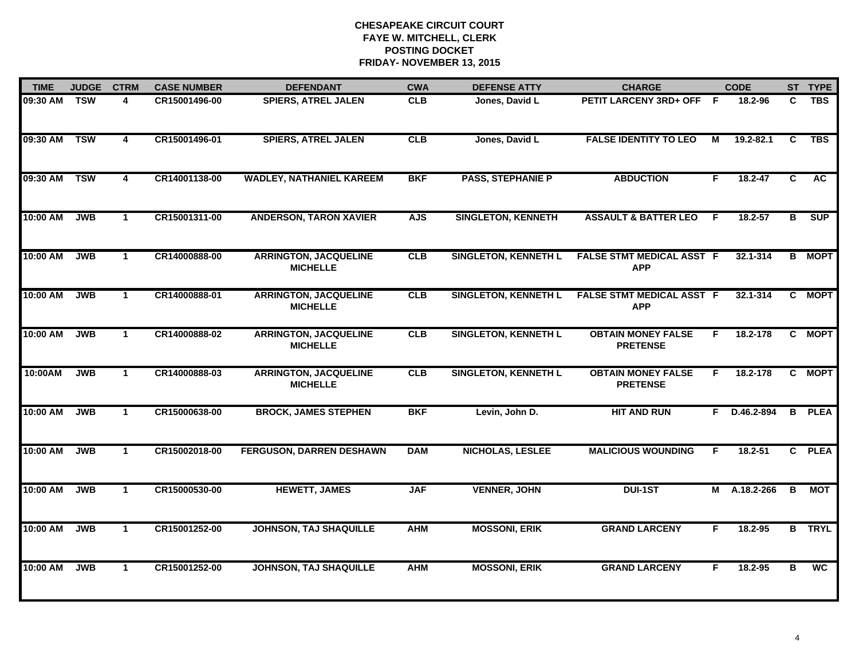| <b>TIME</b> | <b>JUDGE</b> | <b>CTRM</b>             | <b>CASE NUMBER</b> | <b>DEFENDANT</b>                                | <b>CWA</b> | <b>DEFENSE ATTY</b>         | <b>CHARGE</b>                                  |    | <b>CODE</b>  |                         | ST TYPE       |
|-------------|--------------|-------------------------|--------------------|-------------------------------------------------|------------|-----------------------------|------------------------------------------------|----|--------------|-------------------------|---------------|
| 09:30 AM    | <b>TSW</b>   | $\overline{4}$          | CR15001496-00      | <b>SPIERS, ATREL JALEN</b>                      | <b>CLB</b> | Jones, David L              | PETIT LARCENY 3RD+ OFF F                       |    | 18.2-96      | C                       | <b>TBS</b>    |
| 09:30 AM    | <b>TSW</b>   | $\overline{4}$          | CR15001496-01      | <b>SPIERS, ATREL JALEN</b>                      | CLB        | Jones, David L              | <b>FALSE IDENTITY TO LEO</b>                   | M  | 19.2-82.1    | C                       | <b>TBS</b>    |
| 09:30 AM    | <b>TSW</b>   | $\overline{\mathbf{4}}$ | CR14001138-00      | <b>WADLEY, NATHANIEL KAREEM</b>                 | <b>BKF</b> | <b>PASS, STEPHANIE P</b>    | <b>ABDUCTION</b>                               | F  | 18.2-47      | $\overline{\mathsf{c}}$ | <b>AC</b>     |
| 10:00 AM    | <b>JWB</b>   | $\mathbf{1}$            | CR15001311-00      | <b>ANDERSON, TARON XAVIER</b>                   | <b>AJS</b> | <b>SINGLETON, KENNETH</b>   | <b>ASSAULT &amp; BATTER LEO</b>                | F. | $18.2 - 57$  | в                       | <b>SUP</b>    |
| 10:00 AM    | <b>JWB</b>   | $\mathbf{1}$            | CR14000888-00      | <b>ARRINGTON, JACQUELINE</b><br><b>MICHELLE</b> | CLB        | <b>SINGLETON, KENNETH L</b> | <b>FALSE STMT MEDICAL ASST F</b><br><b>APP</b> |    | 32.1-314     |                         | <b>B</b> MOPT |
| 10:00 AM    | <b>JWB</b>   | $\mathbf 1$             | CR14000888-01      | <b>ARRINGTON, JACQUELINE</b><br><b>MICHELLE</b> | CLB        | <b>SINGLETON, KENNETH L</b> | <b>FALSE STMT MEDICAL ASST F</b><br><b>APP</b> |    | 32.1-314     |                         | C MOPT        |
| 10:00 AM    | <b>JWB</b>   | $\mathbf{1}$            | CR14000888-02      | <b>ARRINGTON, JACQUELINE</b><br><b>MICHELLE</b> | CLB        | <b>SINGLETON, KENNETH L</b> | <b>OBTAIN MONEY FALSE</b><br><b>PRETENSE</b>   | F. | 18.2-178     |                         | C MOPT        |
| 10:00AM     | <b>JWB</b>   | $\mathbf{1}$            | CR14000888-03      | <b>ARRINGTON, JACQUELINE</b><br><b>MICHELLE</b> | CLB        | <b>SINGLETON, KENNETH L</b> | <b>OBTAIN MONEY FALSE</b><br><b>PRETENSE</b>   | F. | 18.2-178     |                         | C MOPT        |
| 10:00 AM    | <b>JWB</b>   | $\mathbf{1}$            | CR15000638-00      | <b>BROCK, JAMES STEPHEN</b>                     | <b>BKF</b> | Levin, John D.              | <b>HIT AND RUN</b>                             |    | F D.46.2-894 | $\overline{B}$          | <b>PLEA</b>   |
| 10:00 AM    | <b>JWB</b>   | $\mathbf{1}$            | CR15002018-00      | <b>FERGUSON, DARREN DESHAWN</b>                 | <b>DAM</b> | <b>NICHOLAS, LESLEE</b>     | <b>MALICIOUS WOUNDING</b>                      | F  | $18.2 - 51$  |                         | C PLEA        |
| 10:00 AM    | <b>JWB</b>   | $\mathbf{1}$            | CR15000530-00      | <b>HEWETT, JAMES</b>                            | <b>JAF</b> | <b>VENNER, JOHN</b>         | <b>DUI-1ST</b>                                 |    | M A.18.2-266 | $\overline{B}$          | <b>MOT</b>    |
| 10:00 AM    | <b>JWB</b>   | $\overline{1}$          | CR15001252-00      | <b>JOHNSON, TAJ SHAQUILLE</b>                   | <b>AHM</b> | <b>MOSSONI, ERIK</b>        | <b>GRAND LARCENY</b>                           | F  | 18.2-95      |                         | <b>B</b> TRYL |
| 10:00 AM    | <b>JWB</b>   | $\mathbf 1$             | CR15001252-00      | <b>JOHNSON, TAJ SHAQUILLE</b>                   | <b>AHM</b> | <b>MOSSONI, ERIK</b>        | <b>GRAND LARCENY</b>                           | F  | $18.2 - 95$  | в                       | <b>WC</b>     |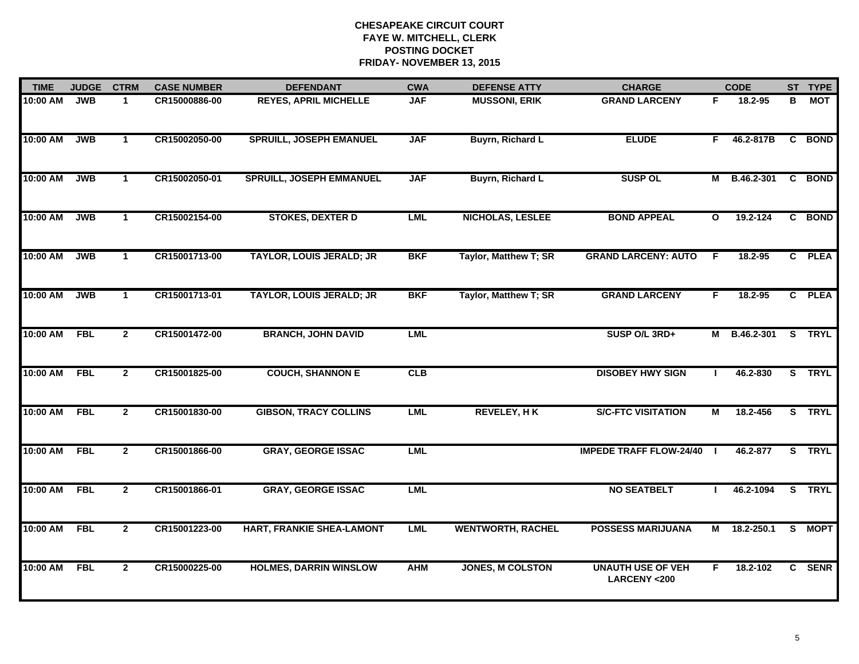| <b>TIME</b> | <b>JUDGE</b> | <b>CTRM</b>          | <b>CASE NUMBER</b> | <b>DEFENDANT</b>                | <b>CWA</b> | <b>DEFENSE ATTY</b>      | <b>CHARGE</b>                                      |              | <b>CODE</b>       |                | ST TYPE     |
|-------------|--------------|----------------------|--------------------|---------------------------------|------------|--------------------------|----------------------------------------------------|--------------|-------------------|----------------|-------------|
| 10:00 AM    | <b>JWB</b>   | $\mathbf{1}$         | CR15000886-00      | <b>REYES, APRIL MICHELLE</b>    | <b>JAF</b> | <b>MUSSONI, ERIK</b>     | <b>GRAND LARCENY</b>                               | F.           | 18.2-95           | в              | MOT         |
| 10:00 AM    | <b>JWB</b>   | $\mathbf{1}$         | CR15002050-00      | <b>SPRUILL, JOSEPH EMANUEL</b>  | <b>JAF</b> | Buyrn, Richard L         | <b>ELUDE</b>                                       | F.           | 46.2-817B         | $\overline{c}$ | <b>BOND</b> |
| 10:00 AM    | <b>JWB</b>   | $\mathbf{1}$         | CR15002050-01      | <b>SPRUILL, JOSEPH EMMANUEL</b> | <b>JAF</b> | Buyrn, Richard L         | <b>SUSP OL</b>                                     | М            | B.46.2-301        |                | C BOND      |
| 10:00 AM    | <b>JWB</b>   | $\blacktriangleleft$ | CR15002154-00      | <b>STOKES, DEXTER D</b>         | <b>LML</b> | <b>NICHOLAS, LESLEE</b>  | <b>BOND APPEAL</b>                                 | $\mathbf{o}$ | 19.2-124          |                | C BOND      |
| 10:00 AM    | <b>JWB</b>   | $\mathbf{1}$         | CR15001713-00      | <b>TAYLOR, LOUIS JERALD; JR</b> | <b>BKF</b> | Taylor, Matthew T; SR    | <b>GRAND LARCENY: AUTO</b>                         | F            | 18.2-95           |                | C PLEA      |
| 10:00 AM    | <b>JWB</b>   | $\mathbf{1}$         | CR15001713-01      | <b>TAYLOR, LOUIS JERALD; JR</b> | <b>BKF</b> | Taylor, Matthew T; SR    | <b>GRAND LARCENY</b>                               | F.           | 18.2-95           |                | C PLEA      |
| 10:00 AM    | <b>FBL</b>   | $\overline{2}$       | CR15001472-00      | <b>BRANCH, JOHN DAVID</b>       | <b>LML</b> |                          | SUSP O/L 3RD+                                      | М            | B.46.2-301 S TRYL |                |             |
| 10:00 AM    | <b>FBL</b>   | $\overline{2}$       | CR15001825-00      | <b>COUCH, SHANNON E</b>         | CLB        |                          | <b>DISOBEY HWY SIGN</b>                            |              | 46.2-830          |                | S TRYL      |
| 10:00 AM    | <b>FBL</b>   | $\mathbf{2}$         | CR15001830-00      | <b>GIBSON, TRACY COLLINS</b>    | LML        | <b>REVELEY, HK</b>       | <b>S/C-FTC VISITATION</b>                          | М            | 18.2-456          |                | S TRYL      |
| 10:00 AM    | <b>FBL</b>   | $\mathbf{2}$         | CR15001866-00      | <b>GRAY, GEORGE ISSAC</b>       | <b>LML</b> |                          | <b>IMPEDE TRAFF FLOW-24/40</b>                     |              | 46.2-877          |                | S TRYL      |
| 10:00 AM    | <b>FBL</b>   | $\overline{2}$       | CR15001866-01      | <b>GRAY, GEORGE ISSAC</b>       | <b>LML</b> |                          | <b>NO SEATBELT</b>                                 |              | 46.2-1094         |                | S TRYL      |
| 10:00 AM    | <b>FBL</b>   | $\overline{2}$       | CR15001223-00      | HART, FRANKIE SHEA-LAMONT       | <b>LML</b> | <b>WENTWORTH, RACHEL</b> | <b>POSSESS MARIJUANA</b>                           | М            | 18.2-250.1        |                | S MOPT      |
| $10:00$ AM  | <b>FBL</b>   | $\mathbf{2}$         | CR15000225-00      | <b>HOLMES, DARRIN WINSLOW</b>   | <b>AHM</b> | <b>JONES, M COLSTON</b>  | <b>UNAUTH USE OF VEH</b><br><b>LARCENY &lt;200</b> | F.           | 18.2-102          | $\mathbf{c}$   | <b>SENR</b> |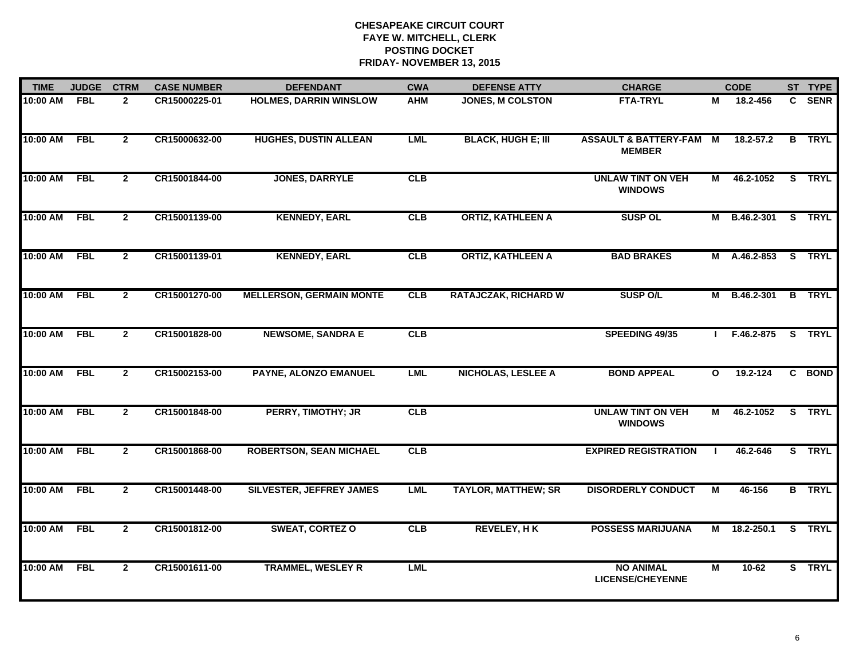| <b>TIME</b> | <b>JUDGE</b> | <b>CTRM</b>    | <b>CASE NUMBER</b> | <b>DEFENDANT</b>                | <b>CWA</b> | <b>DEFENSE ATTY</b>         | <b>CHARGE</b>                                       |                | <b>CODE</b>         |              | ST TYPE       |
|-------------|--------------|----------------|--------------------|---------------------------------|------------|-----------------------------|-----------------------------------------------------|----------------|---------------------|--------------|---------------|
| $10:00$ AM  | <b>FBL</b>   | $\overline{2}$ | CR15000225-01      | <b>HOLMES, DARRIN WINSLOW</b>   | <b>AHM</b> | <b>JONES, M COLSTON</b>     | <b>FTA-TRYL</b>                                     | М              | 18.2-456            | $\mathbf{c}$ | <b>SENR</b>   |
| 10:00 AM    | <b>FBL</b>   | $\overline{2}$ | CR15000632-00      | <b>HUGHES, DUSTIN ALLEAN</b>    | <b>LML</b> | <b>BLACK, HUGH E; III</b>   | <b>ASSAULT &amp; BATTERY-FAM M</b><br><b>MEMBER</b> |                | $18.2 - 57.2$       |              | <b>B</b> TRYL |
| 10:00 AM    | <b>FBL</b>   | $\overline{2}$ | CR15001844-00      | <b>JONES, DARRYLE</b>           | CLB        |                             | <b>UNLAW TINT ON VEH</b><br><b>WINDOWS</b>          | $\blacksquare$ | 46.2-1052           |              | S TRYL        |
| 10:00 AM    | <b>FBL</b>   | $\mathbf{2}$   | CR15001139-00      | <b>KENNEDY, EARL</b>            | CLB        | <b>ORTIZ, KATHLEEN A</b>    | <b>SUSP OL</b>                                      | М              | B.46.2-301          |              | S TRYL        |
| 10:00 AM    | <b>FBL</b>   | $\mathbf{2}$   | CR15001139-01      | <b>KENNEDY, EARL</b>            | <b>CLB</b> | <b>ORTIZ, KATHLEEN A</b>    | <b>BAD BRAKES</b>                                   |                | M A.46.2-853        |              | S TRYL        |
| 10:00 AM    | <b>FBL</b>   | $\overline{2}$ | CR15001270-00      | <b>MELLERSON, GERMAIN MONTE</b> | CLB        | <b>RATAJCZAK, RICHARD W</b> | <b>SUSP O/L</b>                                     |                | M B.46.2-301 B TRYL |              |               |
| 10:00 AM    | <b>FBL</b>   | $\overline{2}$ | CR15001828-00      | <b>NEWSOME, SANDRA E</b>        | CLB        |                             | SPEEDING 49/35                                      |                | F.46.2-875 S TRYL   |              |               |
| 10:00 AM    | <b>FBL</b>   | $\mathbf{2}$   | CR15002153-00      | PAYNE, ALONZO EMANUEL           | <b>LML</b> | <b>NICHOLAS, LESLEE A</b>   | <b>BOND APPEAL</b>                                  | $\mathbf{o}$   | 19.2-124            |              | C BOND        |
| 10:00 AM    | <b>FBL</b>   | $\mathbf{2}$   | CR15001848-00      | PERRY, TIMOTHY; JR              | CLB        |                             | <b>UNLAW TINT ON VEH</b><br><b>WINDOWS</b>          | М              | 46.2-1052           |              | S TRYL        |
| 10:00 AM    | <b>FBL</b>   | $\overline{2}$ | CR15001868-00      | <b>ROBERTSON, SEAN MICHAEL</b>  | CLB        |                             | <b>EXPIRED REGISTRATION</b>                         |                | 46.2-646            |              | S TRYL        |
| 10:00 AM    | <b>FBL</b>   | $\overline{2}$ | CR15001448-00      | <b>SILVESTER, JEFFREY JAMES</b> | <b>LML</b> | <b>TAYLOR, MATTHEW; SR</b>  | <b>DISORDERLY CONDUCT</b>                           | М              | 46-156              |              | <b>B</b> TRYL |
| 10:00 AM    | <b>FBL</b>   | $\mathbf{2}$   | CR15001812-00      | <b>SWEAT, CORTEZ O</b>          | CLB        | <b>REVELEY, HK</b>          | <b>POSSESS MARIJUANA</b>                            | M              | 18.2-250.1          |              | S TRYL        |
| 10:00 AM    | <b>FBL</b>   | $\mathbf{2}$   | CR15001611-00      | <b>TRAMMEL, WESLEY R</b>        | <b>LML</b> |                             | <b>NO ANIMAL</b><br><b>LICENSE/CHEYENNE</b>         | M              | $10-62$             |              | S TRYL        |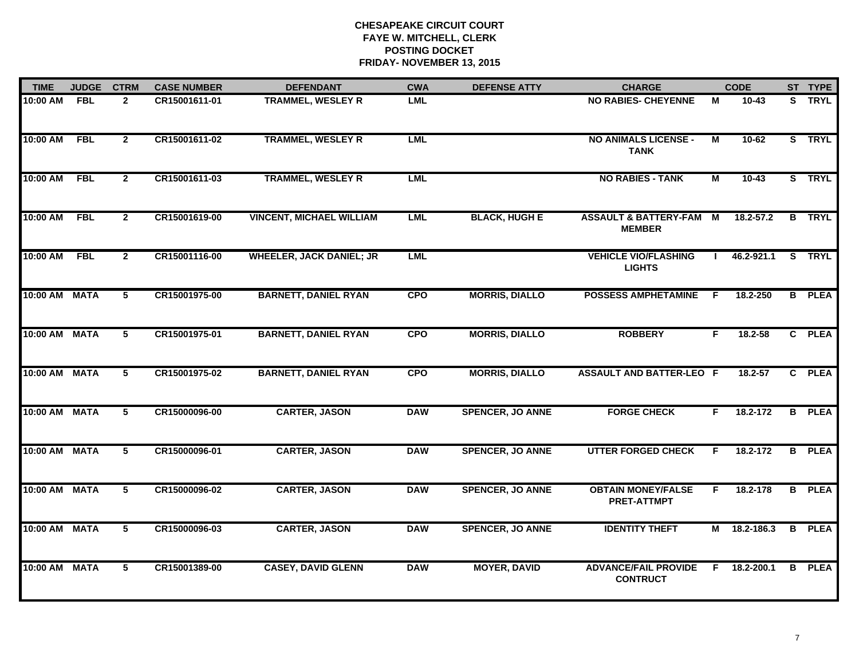| <b>TIME</b>   | <b>JUDGE</b> | <b>CTRM</b>    | <b>CASE NUMBER</b> | <b>DEFENDANT</b>                | <b>CWA</b> | <b>DEFENSE ATTY</b>     | <b>CHARGE</b>                                       |                | <b>CODE</b> |    | ST TYPE       |
|---------------|--------------|----------------|--------------------|---------------------------------|------------|-------------------------|-----------------------------------------------------|----------------|-------------|----|---------------|
| $10:00$ AM    | <b>FBL</b>   | $\mathbf{2}$   | CR15001611-01      | <b>TRAMMEL, WESLEY R</b>        | <b>LML</b> |                         | <b>NO RABIES- CHEYENNE</b>                          | M              | $10 - 43$   |    | S TRYL        |
| 10:00 AM      | <b>FBL</b>   | $\overline{2}$ | CR15001611-02      | <b>TRAMMEL, WESLEY R</b>        | <b>LML</b> |                         | <b>NO ANIMALS LICENSE -</b><br><b>TANK</b>          | М              | $10 - 62$   |    | S TRYL        |
| 10:00 AM      | <b>FBL</b>   | $\overline{2}$ | CR15001611-03      | <b>TRAMMEL, WESLEY R</b>        | <b>LML</b> |                         | <b>NO RABIES - TANK</b>                             | $\blacksquare$ | $10 - 43$   |    | S TRYL        |
| 10:00 AM      | <b>FBL</b>   | $\mathbf{2}$   | CR15001619-00      | <b>VINCENT, MICHAEL WILLIAM</b> | <b>LML</b> | <b>BLACK, HUGH E</b>    | <b>ASSAULT &amp; BATTERY-FAM M</b><br><b>MEMBER</b> |                | 18.2-57.2   |    | <b>B</b> TRYL |
| 10:00 AM      | <b>FBL</b>   | $\mathbf{2}$   | CR15001116-00      | <b>WHEELER, JACK DANIEL; JR</b> | LML        |                         | <b>VEHICLE VIO/FLASHING</b><br><b>LIGHTS</b>        |                | 46.2-921.1  |    | S TRYL        |
| 10:00 AM MATA |              | 5              | CR15001975-00      | <b>BARNETT, DANIEL RYAN</b>     | <b>CPO</b> | <b>MORRIS, DIALLO</b>   | <b>POSSESS AMPHETAMINE</b>                          | -F             | 18.2-250    |    | <b>B</b> PLEA |
| 10:00 AM MATA |              | 5              | CR15001975-01      | <b>BARNETT, DANIEL RYAN</b>     | <b>CPO</b> | <b>MORRIS, DIALLO</b>   | <b>ROBBERY</b>                                      | F.             | 18.2-58     |    | C PLEA        |
| 10:00 AM MATA |              | 5              | CR15001975-02      | <b>BARNETT, DANIEL RYAN</b>     | <b>CPO</b> | <b>MORRIS, DIALLO</b>   | <b>ASSAULT AND BATTER-LEO F</b>                     |                | 18.2-57     | C. | <b>PLEA</b>   |
| 10:00 AM      | <b>MATA</b>  | 5              | CR15000096-00      | <b>CARTER, JASON</b>            | <b>DAW</b> | <b>SPENCER, JO ANNE</b> | <b>FORGE CHECK</b>                                  | F              | 18.2-172    |    | <b>B</b> PLEA |
| 10:00 AM MATA |              | 5              | CR15000096-01      | <b>CARTER, JASON</b>            | <b>DAW</b> | <b>SPENCER, JO ANNE</b> | <b>UTTER FORGED CHECK</b>                           | F              | 18.2-172    | B  | <b>PLEA</b>   |
| 10:00 AM MATA |              | 5              | CR15000096-02      | <b>CARTER, JASON</b>            | <b>DAW</b> | <b>SPENCER, JO ANNE</b> | <b>OBTAIN MONEY/FALSE</b><br><b>PRET-ATTMPT</b>     | F.             | 18.2-178    |    | <b>B</b> PLEA |
| 10:00 AM      | <b>MATA</b>  | 5              | CR15000096-03      | <b>CARTER, JASON</b>            | <b>DAW</b> | <b>SPENCER, JO ANNE</b> | <b>IDENTITY THEFT</b>                               | М              | 18.2-186.3  | B  | <b>PLEA</b>   |
| 10:00 AM      | <b>MATA</b>  | 5              | CR15001389-00      | <b>CASEY, DAVID GLENN</b>       | <b>DAW</b> | <b>MOYER, DAVID</b>     | <b>ADVANCE/FAIL PROVIDE</b><br><b>CONTRUCT</b>      | F.             | 18.2-200.1  | B. | <b>PLEA</b>   |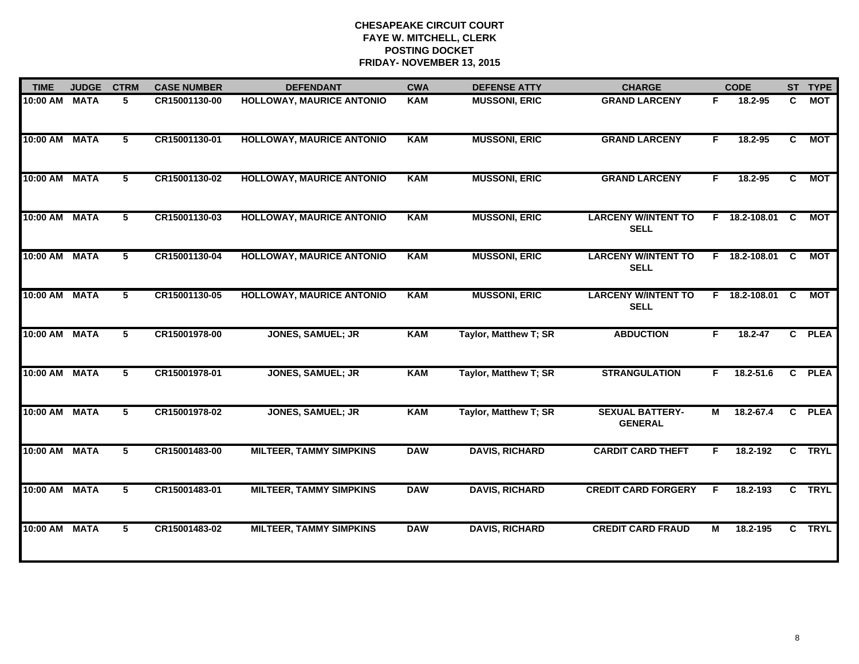| <b>TIME</b>   | <b>JUDGE</b> | <b>CTRM</b>     | <b>CASE NUMBER</b> | <b>DEFENDANT</b>                 | <b>CWA</b> | <b>DEFENSE ATTY</b>   | <b>CHARGE</b>                             |    | <b>CODE</b>     |                | ST TYPE     |
|---------------|--------------|-----------------|--------------------|----------------------------------|------------|-----------------------|-------------------------------------------|----|-----------------|----------------|-------------|
| 10:00 AM      | <b>MATA</b>  | 5               | CR15001130-00      | <b>HOLLOWAY, MAURICE ANTONIO</b> | <b>KAM</b> | <b>MUSSONI, ERIC</b>  | <b>GRAND LARCENY</b>                      | F. | 18.2-95         | C              | <b>MOT</b>  |
| 10:00 AM      | <b>MATA</b>  | 5               | CR15001130-01      | <b>HOLLOWAY, MAURICE ANTONIO</b> | <b>KAM</b> | <b>MUSSONI, ERIC</b>  | <b>GRAND LARCENY</b>                      | F  | 18.2-95         | $\overline{c}$ | <b>MOT</b>  |
| 10:00 AM      | <b>MATA</b>  | 5               | CR15001130-02      | <b>HOLLOWAY, MAURICE ANTONIO</b> | <b>KAM</b> | <b>MUSSONI, ERIC</b>  | <b>GRAND LARCENY</b>                      | F. | 18.2-95         | C.             | <b>MOT</b>  |
| 10:00 AM MATA |              | 5               | CR15001130-03      | <b>HOLLOWAY, MAURICE ANTONIO</b> | <b>KAM</b> | <b>MUSSONI, ERIC</b>  | <b>LARCENY W/INTENT TO</b><br><b>SELL</b> |    | F 18.2-108.01   | <b>C</b>       | <b>MOT</b>  |
| 10:00 AM MATA |              | 5               | CR15001130-04      | <b>HOLLOWAY, MAURICE ANTONIO</b> | KAM        | <b>MUSSONI, ERIC</b>  | <b>LARCENY W/INTENT TO</b><br><b>SELL</b> |    | F 18.2-108.01 C |                | <b>MOT</b>  |
| 10:00 AM MATA |              | 5               | CR15001130-05      | <b>HOLLOWAY, MAURICE ANTONIO</b> | <b>KAM</b> | <b>MUSSONI, ERIC</b>  | <b>LARCENY W/INTENT TO</b><br><b>SELL</b> |    | F 18.2-108.01   | C              | <b>MOT</b>  |
| 10:00 AM MATA |              | $5\phantom{.0}$ | CR15001978-00      | <b>JONES, SAMUEL; JR</b>         | <b>KAM</b> | Taylor, Matthew T; SR | <b>ABDUCTION</b>                          | F. | $18.2 - 47$     |                | C PLEA      |
| 10:00 AM      | <b>MATA</b>  | $5\phantom{.0}$ | CR15001978-01      | <b>JONES, SAMUEL; JR</b>         | <b>KAM</b> | Taylor, Matthew T; SR | <b>STRANGULATION</b>                      | F. | 18.2-51.6       |                | C PLEA      |
| 10:00 AM      | <b>MATA</b>  | 5               | CR15001978-02      | <b>JONES, SAMUEL; JR</b>         | <b>KAM</b> | Taylor, Matthew T; SR | <b>SEXUAL BATTERY-</b><br><b>GENERAL</b>  | М  | 18.2-67.4       |                | C PLEA      |
| 10:00 AM      | <b>MATA</b>  | 5               | CR15001483-00      | <b>MILTEER, TAMMY SIMPKINS</b>   | <b>DAW</b> | <b>DAVIS, RICHARD</b> | <b>CARDIT CARD THEFT</b>                  | F  | 18.2-192        |                | C TRYL      |
| 10:00 AM      | <b>MATA</b>  | 5               | CR15001483-01      | <b>MILTEER, TAMMY SIMPKINS</b>   | <b>DAW</b> | <b>DAVIS, RICHARD</b> | <b>CREDIT CARD FORGERY</b>                | F  | 18.2-193        | $\overline{c}$ | <b>TRYL</b> |
| 10:00 AM      | <b>MATA</b>  | 5               | CR15001483-02      | <b>MILTEER, TAMMY SIMPKINS</b>   | <b>DAW</b> | <b>DAVIS, RICHARD</b> | <b>CREDIT CARD FRAUD</b>                  | М  | 18.2-195        | C.             | <b>TRYL</b> |
|               |              |                 |                    |                                  |            |                       |                                           |    |                 |                |             |